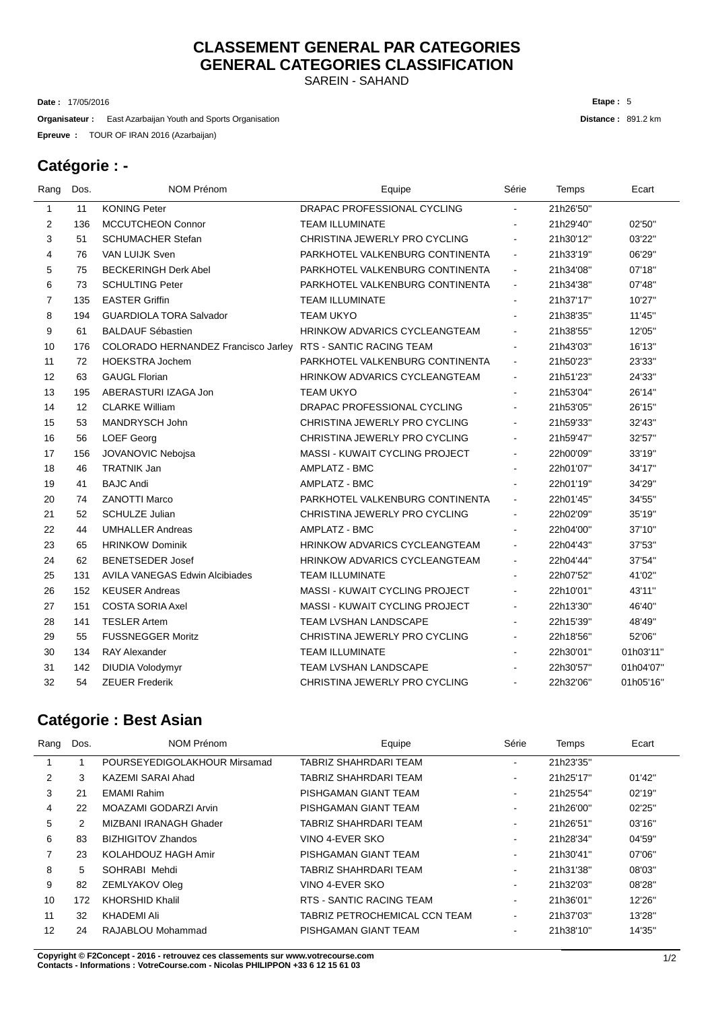# **CLASSEMENT GENERAL PAR CATEGORIES GENERAL CATEGORIES CLASSIFICATION**

SAREIN - SAHAND

17/05/2016 **Date :**

**Organisateur** : East Azarbaijan Youth and Sports Organisation

TOUR OF IRAN 2016 (Azarbaijan) **Epreuve :**

#### **Catégorie : -**

l,

| Rang         | Dos. | <b>NOM Prénom</b>                     | Equipe                                | Série          | Temps     | Ecart     |
|--------------|------|---------------------------------------|---------------------------------------|----------------|-----------|-----------|
| $\mathbf{1}$ | 11   | <b>KONING Peter</b>                   | DRAPAC PROFESSIONAL CYCLING           |                | 21h26'50" |           |
| 2            | 136  | MCCUTCHEON Connor                     | <b>TEAM ILLUMINATE</b>                |                | 21h29'40" | 02'50"    |
| 3            | 51   | <b>SCHUMACHER Stefan</b>              | CHRISTINA JEWERLY PRO CYCLING         |                | 21h30'12" | 03'22"    |
| 4            | 76   | VAN LUIJK Sven                        | PARKHOTEL VALKENBURG CONTINENTA       | $\blacksquare$ | 21h33'19" | 06'29"    |
| 5            | 75   | <b>BECKERINGH Derk Abel</b>           | PARKHOTEL VALKENBURG CONTINENTA       | $\blacksquare$ | 21h34'08" | 07'18"    |
| 6            | 73   | <b>SCHULTING Peter</b>                | PARKHOTEL VALKENBURG CONTINENTA       | $\overline{a}$ | 21h34'38" | 07'48"    |
| 7            | 135  | <b>EASTER Griffin</b>                 | TEAM ILLUMINATE                       | $\blacksquare$ | 21h37'17" | 10'27"    |
| 8            | 194  | <b>GUARDIOLA TORA Salvador</b>        | <b>TEAM UKYO</b>                      |                | 21h38'35" | 11'45"    |
| 9            | 61   | <b>BALDAUF Sébastien</b>              | <b>HRINKOW ADVARICS CYCLEANGTEAM</b>  | $\blacksquare$ | 21h38'55" | 12'05"    |
| 10           | 176  | COLORADO HERNANDEZ Francisco Jarley   | <b>RTS - SANTIC RACING TEAM</b>       | ä,             | 21h43'03" | 16'13"    |
| 11           | 72   | <b>HOEKSTRA Jochem</b>                | PARKHOTEL VALKENBURG CONTINENTA       | $\blacksquare$ | 21h50'23" | 23'33"    |
| 12           | 63   | <b>GAUGL Florian</b>                  | <b>HRINKOW ADVARICS CYCLEANGTEAM</b>  | ä,             | 21h51'23" | 24'33"    |
| 13           | 195  | ABERASTURI IZAGA Jon                  | <b>TEAM UKYO</b>                      |                | 21h53'04" | 26'14"    |
| 14           | 12   | <b>CLARKE William</b>                 | DRAPAC PROFESSIONAL CYCLING           | $\blacksquare$ | 21h53'05" | 26'15"    |
| 15           | 53   | MANDRYSCH John                        | CHRISTINA JEWERLY PRO CYCLING         |                | 21h59'33" | 32'43"    |
| 16           | 56   | <b>LOEF Georg</b>                     | CHRISTINA JEWERLY PRO CYCLING         |                | 21h59'47" | 32'57"    |
| 17           | 156  | JOVANOVIC Nebojsa                     | <b>MASSI - KUWAIT CYCLING PROJECT</b> | $\blacksquare$ | 22h00'09" | 33'19"    |
| 18           | 46   | <b>TRATNIK Jan</b>                    | AMPLATZ - BMC                         | $\overline{a}$ | 22h01'07" | 34'17"    |
| 19           | 41   | <b>BAJC Andi</b>                      | <b>AMPLATZ - BMC</b>                  |                | 22h01'19" | 34'29"    |
| 20           | 74   | <b>ZANOTTI Marco</b>                  | PARKHOTEL VALKENBURG CONTINENTA       | $\blacksquare$ | 22h01'45" | 34'55"    |
| 21           | 52   | <b>SCHULZE Julian</b>                 | CHRISTINA JEWERLY PRO CYCLING         | $\blacksquare$ | 22h02'09" | 35'19"    |
| 22           | 44   | <b>UMHALLER Andreas</b>               | <b>AMPLATZ - BMC</b>                  | ٠              | 22h04'00" | 37'10"    |
| 23           | 65   | <b>HRINKOW Dominik</b>                | <b>HRINKOW ADVARICS CYCLEANGTEAM</b>  |                | 22h04'43" | 37'53"    |
| 24           | 62   | <b>BENETSEDER Josef</b>               | <b>HRINKOW ADVARICS CYCLEANGTEAM</b>  |                | 22h04'44" | 37'54"    |
| 25           | 131  | <b>AVILA VANEGAS Edwin Alcibiades</b> | <b>TEAM ILLUMINATE</b>                |                | 22h07'52" | 41'02"    |
| 26           | 152  | <b>KEUSER Andreas</b>                 | <b>MASSI - KUWAIT CYCLING PROJECT</b> | $\blacksquare$ | 22h10'01" | 43'11"    |
| 27           | 151  | <b>COSTA SORIA Axel</b>               | <b>MASSI - KUWAIT CYCLING PROJECT</b> | ÷              | 22h13'30" | 46'40"    |
| 28           | 141  | <b>TESLER Artem</b>                   | <b>TEAM LVSHAN LANDSCAPE</b>          |                | 22h15'39" | 48'49"    |
| 29           | 55   | <b>FUSSNEGGER Moritz</b>              | CHRISTINA JEWERLY PRO CYCLING         | ۰              | 22h18'56" | 52'06"    |
| 30           | 134  | <b>RAY Alexander</b>                  | <b>TEAM ILLUMINATE</b>                | $\overline{a}$ | 22h30'01" | 01h03'11" |
| 31           | 142  | <b>DIUDIA Volodymyr</b>               | TEAM LVSHAN LANDSCAPE                 |                | 22h30'57" | 01h04'07" |
| 32           | 54   | <b>ZEUER Frederik</b>                 | CHRISTINA JEWERLY PRO CYCLING         |                | 22h32'06" | 01h05'16" |
|              |      |                                       |                                       |                |           |           |

### **Catégorie : Best Asian**

| Rang           | Dos.          | NOM Prénom                   | Equipe                        | Série                    | Temps     | Ecart  |
|----------------|---------------|------------------------------|-------------------------------|--------------------------|-----------|--------|
|                |               | POURSEYEDIGOLAKHOUR Mirsamad | TABRIZ SHAHRDARI TEAM         |                          | 21h23'35" |        |
| $\overline{2}$ | 3             | KAZEMI SARAI Ahad            | TABRIZ SHAHRDARI TEAM         | $\blacksquare$           | 21h25'17" | 01'42" |
| 3              | 21            | <b>EMAMI Rahim</b>           | PISHGAMAN GIANT TEAM          | $\overline{\phantom{a}}$ | 21h25'54" | 02'19" |
| 4              | 22            | MOAZAMI GODARZI Arvin        | PISHGAMAN GIANT TEAM          | $\blacksquare$           | 21h26'00" | 02'25" |
| 5              | $\mathcal{P}$ | MIZBANI IRANAGH Ghader       | TABRIZ SHAHRDARI TEAM         | ۰                        | 21h26'51" | 03'16" |
| 6              | 83            | <b>BIZHIGITOV Zhandos</b>    | VINO 4-EVER SKO               | $\blacksquare$           | 21h28'34" | 04'59" |
|                | 23            | KOLAHDOUZ HAGH Amir          | PISHGAMAN GIANT TEAM          | $\blacksquare$           | 21h30'41" | 07'06" |
| 8              | 5             | SOHRABI Mehdi                | TABRIZ SHAHRDARI TEAM         | $\blacksquare$           | 21h31'38" | 08'03" |
| 9              | 82            | ZEMLYAKOV Oleg               | VINO 4-EVER SKO               | ۰                        | 21h32'03" | 08'28" |
| 10             | 172           | <b>KHORSHID Khalil</b>       | RTS - SANTIC RACING TEAM      | $\blacksquare$           | 21h36'01" | 12'26" |
| 11             | 32            | KHADEMI Ali                  | TABRIZ PETROCHEMICAL CCN TEAM | $\blacksquare$           | 21h37'03" | 13'28" |
| 12             | 24            | RAJABLOU Mohammad            | PISHGAMAN GIANT TEAM          | $\blacksquare$           | 21h38'10" | 14'35" |

**C** 1/2 **opyright © F2Concept - 2016 - retrouvez ces classements sur www.votrecourse.com Contacts - Informations : VotreCourse.com - Nicolas PHILIPPON +33 6 12 15 61 03**

**Distance :** 891.2 km **Etape :** 5